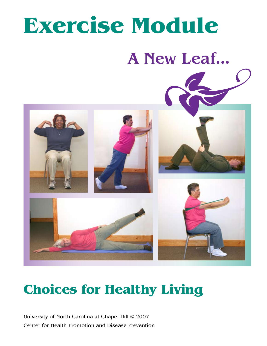# **Exercise Module**

A New Leaf…



## **Choices for Healthy Living**

University of North Carolina at Chapel Hill © 2007 Center for Health Promotion and Disease Prevention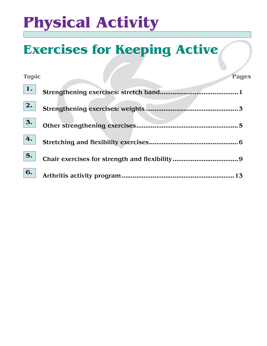## **Physical Activity**

## **Exercises for Keeping Active**

| <b>Topic</b> | <b>Pages</b> |  |
|--------------|--------------|--|
| $\vert$ 1.   |              |  |
| 2.           |              |  |
| 3.           |              |  |
| 4.           |              |  |
| 5.           |              |  |
| 6.           |              |  |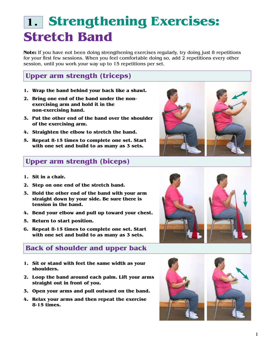## 1. **Strengthening Exercises: Stretch Band**

**Note:** If you have not been doing strengthening exercises regularly, try doing just 8 repetitions for your first few sessions. When you feel comfortable doing so, add 2 repetitions every other session, until you work your way up to 15 repetitions per set.

### **Upper arm strength (triceps)**

- **1. Wrap the band behind your back like a shawl.**
- **2. Bring one end of the band under the nonexercising arm and hold it in the non-exercising hand.**
- **3. Put the other end of the band over the shoulder of the exercising arm.**
- **4. Straighten the elbow to stretch the band.**
- **5. Repeat 8-15 times to complete one set. Start with one set and build to as many as 3 sets.**

### **Upper arm strength (biceps)**

- **1. Sit in a chair.**
- **2. Step on one end of the stretch band.**
- **3. Hold the other end of the band with your arm straight down by your side. Be sure there is tension in the band.**
- **4. Bend your elbow and pull up toward your chest.**
- **5. Return to start position.**
- **6. Repeat 8-15 times to complete one set. Start with one set and build to as many as 3 sets.**

## **Back of shoulder and upper back**

- **1. Sit or stand with feet the same width as your shoulders.**
- **2. Loop the band around each palm. Lift your arms straight out in front of you.**
- **3. Open your arms and pull outward on the band.**
- **4. Relax your arms and then repeat the exercise 8-15 times.**







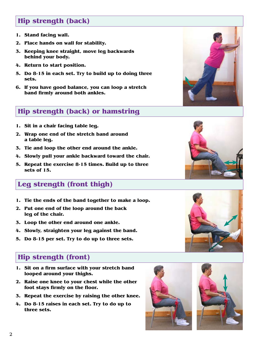## **Hip strength (back)**

- **1. Stand facing wall.**
- **2. Place hands on wall for stability.**
- **3. Keeping knee straight, move leg backwards behind your body.**
- **4. Return to start position.**
- **5. Do 8-15 in each set. Try to build up to doing three sets.**
- **6. If you have good balance, you can loop a stretch band firmly around both ankles.**

### **Hip strength (back) or hamstring**

- **1. Sit in a chair facing table leg.**
- **2. Wrap one end of the stretch band around a table leg.**
- **3. Tie and loop the other end around the ankle.**
- **4. Slowly pull your ankle backward toward the chair.**
- **5. Repeat the exercise 8-15 times. Build up to three sets of 15.**

### **Leg strength (front thigh)**

- **1. Tie the ends of the band together to make a loop.**
- **2. Put one end of the loop around the back leg of the chair.**
- **3. Loop the other end around one ankle.**
- **4. Slowly, straighten your leg against the band.**
- **5. Do 8-15 per set. Try to do up to three sets.**

## **Hip strength (front)**

- **1. Sit on a firm surface with your stretch band looped around your thighs.**
- **2. Raise one knee to your chest while the other foot stays firmly on the floor.**
- **3. Repeat the exercise by raising the other knee.**
- **4. Do 8-15 raises in each set. Try to do up to three sets.**









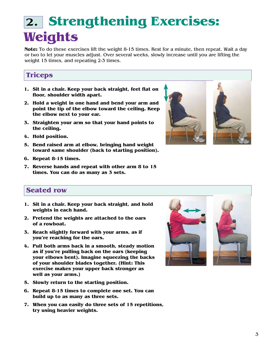## 2. **Strengthening Exercises: Weights**

**Note:** To do these exercises lift the weight 8-15 times. Rest for a minute, then repeat. Wait a day or two to let your muscles adjust. Over several weeks, slowly increase until you are lifting the weight 15 times, and repeating 2-3 times.

## **Triceps**

- **1. Sit in a chair. Keep your back straight, feet flat on floor, shoulder width apart.**
- **2. Hold a weight in one hand and bend your arm and point the tip of the elbow toward the ceiling. Keep the elbow next to your ear.**
- **3. Straighten your arm so that your hand points to the ceiling.**
- **4. Hold position.**
- **5. Bend raised arm at elbow, bringing hand weight toward same shoulder (back to starting position).**
- **6. Repeat 8-15 times.**
- **7. Reverse hands and repeat with other arm 8 to 15 times. You can do as many as 3 sets.**





### **Seated row**

- **1. Sit in a chair. Keep your back straight, and hold weights in each hand.**
- **2. Pretend the weights are attached to the oars of a rowboat.**
- **3. Reach slightly forward with your arms, as if you're reaching for the oars.**
- **4. Pull both arms back in a smooth, steady motion as if you're pulling back on the oars (keeping your elbows bent). Imagine squeezing the backs of your shoulder blades together. (Hint: This exercise makes your upper back stronger as well as your arms.)**
- **5. Slowly return to the starting position.**
- **6. Repeat 8-15 times to complete one set. You can build up to as many as three sets.**
- **7. When you can easily do three sets of 15 repetitions, try using heavier weights.**



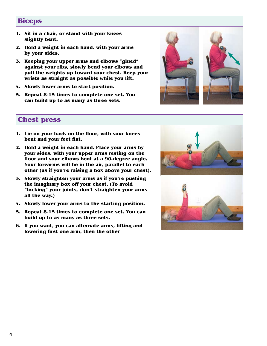#### **Biceps**

- **1. Sit in a chair, or stand with your knees slightly bent.**
- **2. Hold a weight in each hand, with your arms by your sides.**
- **3. Keeping your upper arms and elbows "glued" against your ribs, slowly bend your elbows and pull the weights up toward your chest. Keep your wrists as straight as possible while you lift.**
- **4. Slowly lower arms to start position.**
- **5. Repeat 8-15 times to complete one set. You can build up to as many as three sets.**



#### **Chest press**

- **1. Lie on your back on the floor, with your knees bent and your feet flat.**
- **2. Hold a weight in each hand. Place your arms by your sides, with your upper arms resting on the floor and your elbows bent at a 90-degree angle. Your forearms will be in the air, parallel to each other (as if you're raising a box above your chest).**
- **3. Slowly straighten your arms as if you're pushing the imaginary box off your chest. (To avoid "locking" your joints, don't straighten your arms all the way.)**
- **4. Slowly lower your arms to the starting position.**
- **5. Repeat 8-15 times to complete one set. You can build up to as many as three sets.**
- **6. If you want, you can alternate arms, lifting and lowering first one arm, then the other**

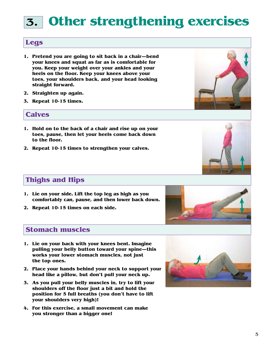## 3. **Other strengthening exercises**

#### **Legs**

- **1. Pretend you are going to sit back in a chair—bend your knees and squat as far as is comfortable for you. Keep your weight over your ankles and your heels on the floor. Keep your knees above your toes, your shoulders back, and your head looking straight forward.**
- **2. Straighten up again.**
- **3. Repeat 10-15 times.**

#### **Calves**

- **1. Hold on to the back of a chair and rise up on your toes, pause, then let your heels come back down to the floor.**
- **2. Repeat 10-15 times to strengthen your calves.**

### **Thighs and Hips**

- **1. Lie on your side. Lift the top leg as high as you comfortably can, pause, and then lower back down.**
- **2. Repeat 10-15 times on each side.**

#### **Stomach muscles**

- **1. Lie on your back with your knees bent. Imagine pulling your belly button toward your spine—this works your lower stomach muscles, not just the top ones.**
- **2. Place your hands behind your neck to support your head like a pillow, but don't pull your neck up.**
- **3. As you pull your belly muscles in, try to lift your shoulders off the floor just a bit and hold the position for 5 full breaths (you don't have to lift your shoulders very high)!**
- **4. For this exercise, a small movement can make you stronger than a bigger one!**









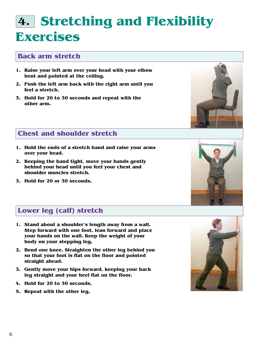## 4. **Stretching and Flexibility Exercises**

#### **Back arm stretch**

- **1. Raise your left arm over your head with your elbow bent and pointed at the ceiling.**
- **2. Push the left arm back with the right arm until you feel a stretch.**
- **3. Hold for 20 to 30 seconds and repeat with the other arm.**

## **Chest and shoulder stretch**

- **1. Hold the ends of a stretch band and raise your arms over your head.**
- **2. Keeping the band tight, move your hands gently behind your head until you feel your chest and shoulder muscles stretch.**
- **3. Hold for 20 or 30 seconds.**





## **Lower leg (calf) stretch**

- **1. Stand about a shoulder's length away from a wall. Step forward with one foot, lean forward and place your hands on the wall. Keep the weight of your body on your stepping leg.**
- **2. Bend one knee. Straighten the other leg behind you so that your foot is flat on the floor and pointed straight ahead.**
- **3. Gently move your hips forward, keeping your back leg straight and your heel flat on the floor.**
- **4. Hold for 20 to 30 seconds.**
- **5. Repeat with the other leg.**

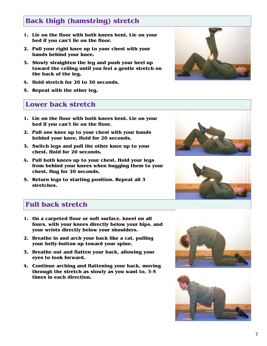## **Back thigh (hamstring) stretch**

- **1. Lie on the floor with both knees bent. Lie on your bed if you can't lie on the floor.**
- **2. Pull your right knee up to your chest with your hands behind your knee.**
- **3. Slowly straighten the leg and push your heel up toward the ceiling until you feel a gentle stretch on the back of the leg.**
- **4. Hold stretch for 20 to 30 seconds.**
- **5. Repeat with the other leg.**

## **Lower back stretch**

- **1. Lie on the floor with both knees bent. Lie on your bed if you can't lie on the floor.**
- **2. Pull one knee up to your chest with your hands behind your knee. Hold for 20 seconds.**
- **3. Switch legs and pull the other knee up to your chest. Hold for 20 seconds.**
- **4. Pull both knees up to your chest. Hold your legs from behind your knees when hugging them to your chest. Hug for 20 seconds.**
- **5. Return legs to starting position. Repeat all 3 stretches.**







### **Full back stretch**

- **1. On a carpeted floor or soft surface, kneel on all fours, with your knees directly below your hips, and your wrists directly below your shoulders.**
- **2. Breathe in and arch your back like a cat, pulling your belly-button up toward your spine.**
- **3. Breathe out and flatten your back, allowing your eyes to look forward.**
- **4. Continue arching and flattening your back, moving through the stretch as slowly as you want to, 3-5 times in each direction.**



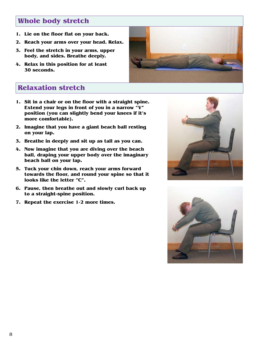### **Whole body stretch**

- **1. Lie on the floor flat on your back.**
- **2. Reach your arms over your head. Relax.**
- **3. Feel the stretch in your arms, upper body, and sides. Breathe deeply.**
- **4. Relax in this position for at least 30 seconds.**



## **Relaxation stretch**

- **1. Sit in a chair or on the floor with a straight spine. Extend your legs in front of you in a narrow "V" position (you can slightly bend your knees if it's more comfortable).**
- **2. Imagine that you have a giant beach ball resting on your lap.**
- **3. Breathe in deeply and sit up as tall as you can.**
- **4. Now imagine that you are diving over the beach ball, draping your upper body over the imaginary beach ball on your lap.**
- **5. Tuck your chin down, reach your arms forward towards the floor, and round your spine so that it looks like the letter "C".**
- **6. Pause, then breathe out and slowly curl back up to a straight-spine position.**
- **7. Repeat the exercise 1-2 more times.**



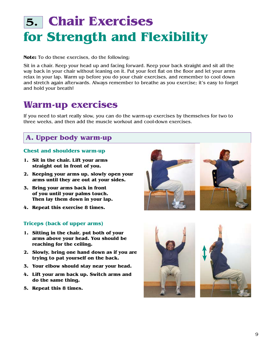## 5. **Chair Exercises for Strength and Flexibility**

**Note:** To do these exercises, do the following:

Sit in a chair. Keep your head up and facing forward. Keep your back straight and sit all the way back in your chair without leaning on it. Put your feet flat on the floor and let your arms relax in your lap. Warm up before you do your chair exercises, and remember to cool down and stretch again afterwards. Always remember to breathe as you exercise; it's easy to forget and hold your breath!

## **Warm-up exercises**

If you need to start really slow, you can do the warm-up exercises by themselves for two to three weeks, and then add the muscle workout and cool-down exercises.

## **A. Upper body warm-up**

#### **Chest and shoulders warm-up**

- **1. Sit in the chair. Lift your arms straight out in front of you.**
- **2. Keeping your arms up, slowly open your arms until they are out at your sides.**
- **3. Bring your arms back in front of you until your palms touch. Then lay them down in your lap.**
- **4. Repeat this exercise 8 times.**

#### **Triceps (back of upper arms)**

- **1. Sitting in the chair, put both of your arms above your head. You should be reaching for the ceiling.**
- **2. Slowly, bring one hand down as if you are trying to pat yourself on the back.**
- **3. Your elbow should stay near your head.**
- **4. Lift your arm back up. Switch arms and do the same thing.**
- **5. Repeat this 8 times.**







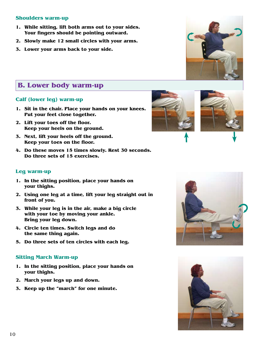#### **Shoulders warm-up**

- **1. While sitting, lift both arms out to your sides. Your fingers should be pointing outward.**
- **2. Slowly make 12 small circles with your arms.**
- **3. Lower your arms back to your side.**

#### **B. Lower body warm-up**

#### **Calf (lower leg) warm-up**

- **1. Sit in the chair. Place your hands on your knees. Put your feet close together.**
- **2. Lift your toes off the floor. Keep your heels on the ground.**
- **3. Next, lift your heels off the ground. Keep your toes on the floor.**
- **4. Do these moves 15 times slowly. Rest 30 seconds. Do three sets of 15 exercises.**

#### **Leg warm-up**

- **1. In the sitting position, place your hands on your thighs.**
- **2. Using one leg at a time, lift your leg straight out in front of you.**
- **3. While your leg is in the air, make a big circle with your toe by moving your ankle. Bring your leg down.**
- **4. Circle ten times. Switch legs and do the same thing again.**
- **5. Do three sets of ten circles with each leg.**

#### **Sitting March Warm-up**

- **1. In the sitting position, place your hands on your thighs.**
- **2. March your legs up and down.**
- **3. Keep up the "march" for one minute.**









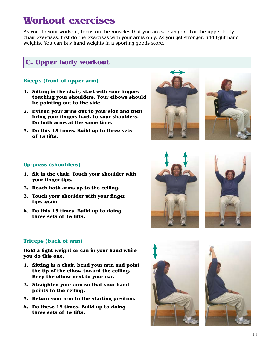## **Workout exercises**

As you do your workout, focus on the muscles that you are working on. For the upper body chair exercises, first do the exercises with your arms only. As you get stronger, add light hand weights. You can buy hand weights in a sporting goods store.

## **C. Upper body workout**

#### **Biceps (front of upper arm)**

- **1. Sitting in the chair, start with your fingers touching your shoulders. Your elbows should be pointing out to the side.**
- **2. Extend your arms out to your side and then bring your fingers back to your shoulders. Do both arms at the same time.**
- **3. Do this 15 times. Build up to three sets of 15 lifts.**





#### **Up-press (shoulders)**

- **1. Sit in the chair. Touch your shoulder with your finger tips.**
- **2. Reach both arms up to the ceiling.**
- **3. Touch your shoulder with your finger tips again.**
- **4. Do this 15 times. Build up to doing three sets of 15 lifts.**





#### **Triceps (back of arm)**

**Hold a light weight or can in your hand while you do this one.** 

- **1. Sitting in a chair, bend your arm and point the tip of the elbow toward the ceiling. Keep the elbow next to your ear.**
- **2. Straighten your arm so that your hand points to the ceiling.**
- **3. Return your arm to the starting position.**
- **4. Do these 15 times. Build up to doing three sets of 15 lifts.**



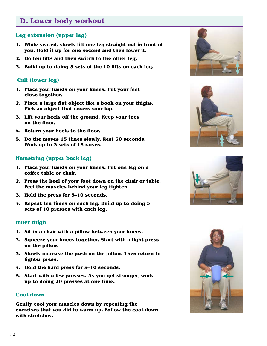#### **D. Lower body workout**

#### **Leg extension (upper leg)**

- **1. While seated, slowly lift one leg straight out in front of you. Hold it up for one second and then lower it.**
- **2. Do ten lifts and then switch to the other leg.**
- **3. Build up to doing 3 sets of the 10 lifts on each leg.**

#### **Calf (lower leg)**

- **1. Place your hands on your knees. Put your feet close together.**
- **2. Place a large flat object like a book on your thighs. Pick an object that covers your lap.**
- **3. Lift your heels off the ground. Keep your toes on the floor.**
- **4. Return your heels to the floor.**
- **5. Do the moves 15 times slowly. Rest 30 seconds. Work up to 3 sets of 15 raises.**

#### **Hamstring (upper back leg)**

- **1. Place your hands on your knees. Put one leg on a coffee table or chair.**
- **2. Press the heel of your foot down on the chair or table. Feel the muscles behind your leg tighten.**
- **3. Hold the press for 5–10 seconds.**
- **4. Repeat ten times on each leg. Build up to doing 3 sets of 10 presses with each leg.**

#### **Inner thigh**

- **1. Sit in a chair with a pillow between your knees.**
- **2. Squeeze your knees together. Start with a light press on the pillow.**
- **3. Slowly increase the push on the pillow. Then return to lighter press.**
- **4. Hold the hard press for 5–10 seconds.**
- **5. Start with a few presses. As you get stronger, work up to doing 20 presses at one time.**

#### **Cool-down**

**Gently cool your muscles down by repeating the exercises that you did to warm up. Follow the cool-down with stretches.** 







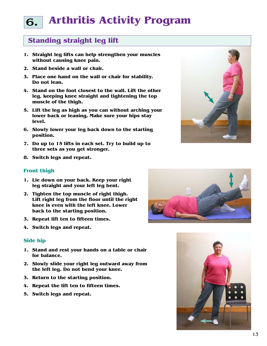## 6. **Arthritis Activity Program**

## **Standing straight leg lift**

- **1. Straight leg lifts can help strengthen your muscles without causing knee pain.**
- **2. Stand beside a wall or chair.**
- **3. Place one hand on the wall or chair for stability. Do not lean.**
- **4. Stand on the foot closest to the wall. Lift the other leg, keeping knee straight and tightening the top muscle of the thigh.**
- **5. Lift the leg as high as you can without arching your lower back or leaning. Make sure your hips stay level.**
- **6. Slowly lower your leg back down to the starting position.**
- **7. Do up to 15 lifts in each set. Try to build up to three sets as you get stronger.**
- **8. Switch legs and repeat.**



- **1. Lie down on your back. Keep your right leg straight and your left leg bent.**
- **2. Tighten the top muscle of right thigh. Lift right leg from the floor until the right knee is even with the left knee. Lower back to the starting position.**
- **3. Repeat lift ten to fifteen times.**
- **4. Switch legs and repeat.**

#### **Side hip**

- **1. Stand and rest your hands on a table or chair for balance.**
- **2. Slowly slide your right leg outward away from the left leg. Do not bend your knee.**
- **3. Return to the starting position.**
- **4. Repeat the lift ten to fifteen times.**
- **5. Switch legs and repeat.**